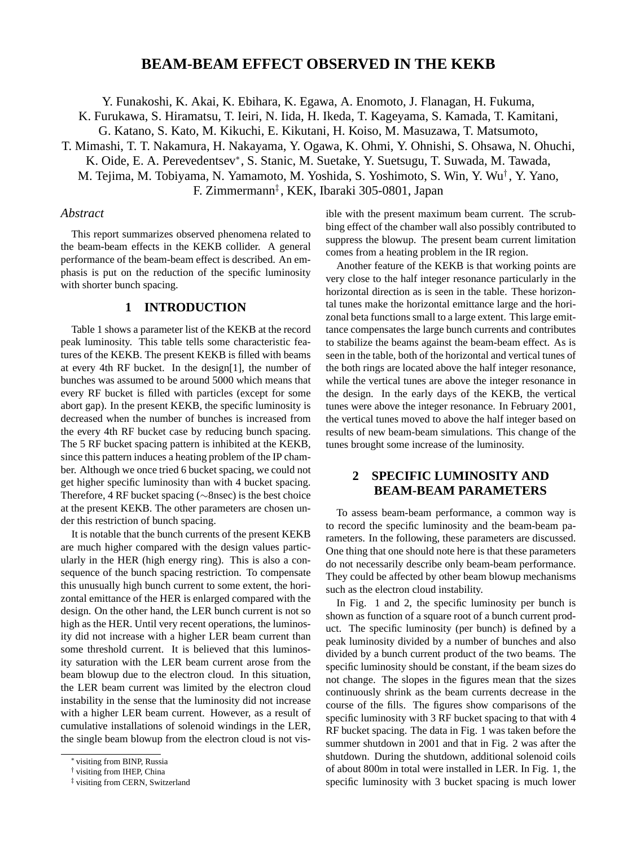## **BEAM-BEAM EFFECT OBSERVED IN THE KEKB**

Y. Funakoshi, K. Akai, K. Ebihara, K. Egawa, A. Enomoto, J. Flanagan, H. Fukuma,

K. Furukawa, S. Hiramatsu, T. Ieiri, N. Iida, H. Ikeda, T. Kageyama, S. Kamada, T. Kamitani,

G. Katano, S. Kato, M. Kikuchi, E. Kikutani, H. Koiso, M. Masuzawa, T. Matsumoto,

T. Mimashi, T. T. Nakamura, H. Nakayama, Y. Ogawa, K. Ohmi, Y. Ohnishi, S. Ohsawa, N. Ohuchi,

K. Oide, E. A. Perevedentsev∗, S. Stanic, M. Suetake, Y. Suetsugu, T. Suwada, M. Tawada,

M. Tejima, M. Tobiyama, N. Yamamoto, M. Yoshida, S. Yoshimoto, S. Win, Y. Wu† , Y. Yano,

F. Zimmermann‡ , KEK, Ibaraki 305-0801, Japan

#### *Abstract*

This report summarizes observed phenomena related to the beam-beam effects in the KEKB collider. A general performance of the beam-beam effect is described. An emphasis is put on the reduction of the specific luminosity with shorter bunch spacing.

## **1 INTRODUCTION**

Table 1 shows a parameter list of the KEKB at the record peak luminosity. This table tells some characteristic features of the KEKB. The present KEKB is filled with beams at every 4th RF bucket. In the design[1], the number of bunches was assumed to be around 5000 which means that every RF bucket is filled with particles (except for some abort gap). In the present KEKB, the specific luminosity is decreased when the number of bunches is increased from the every 4th RF bucket case by reducing bunch spacing. The 5 RF bucket spacing pattern is inhibited at the KEKB, since this pattern induces a heating problem of the IP chamber. Although we once tried 6 bucket spacing, we could not get higher specific luminosity than with 4 bucket spacing. Therefore, 4 RF bucket spacing (∼8nsec) is the best choice at the present KEKB. The other parameters are chosen under this restriction of bunch spacing.

It is notable that the bunch currents of the present KEKB are much higher compared with the design values particularly in the HER (high energy ring). This is also a consequence of the bunch spacing restriction. To compensate this unusually high bunch current to some extent, the horizontal emittance of the HER is enlarged compared with the design. On the other hand, the LER bunch current is not so high as the HER. Until very recent operations, the luminosity did not increase with a higher LER beam current than some threshold current. It is believed that this luminosity saturation with the LER beam current arose from the beam blowup due to the electron cloud. In this situation, the LER beam current was limited by the electron cloud instability in the sense that the luminosity did not increase with a higher LER beam current. However, as a result of cumulative installations of solenoid windings in the LER, the single beam blowup from the electron cloud is not vis-

ible with the present maximum beam current. The scrubbing effect of the chamber wall also possibly contributed to suppress the blowup. The present beam current limitation comes from a heating problem in the IR region.

Another feature of the KEKB is that working points are very close to the half integer resonance particularly in the horizontal direction as is seen in the table. These horizontal tunes make the horizontal emittance large and the horizonal beta functions small to a large extent. This large emittance compensates the large bunch currents and contributes to stabilize the beams against the beam-beam effect. As is seen in the table, both of the horizontal and vertical tunes of the both rings are located above the half integer resonance, while the vertical tunes are above the integer resonance in the design. In the early days of the KEKB, the vertical tunes were above the integer resonance. In February 2001, the vertical tunes moved to above the half integer based on results of new beam-beam simulations. This change of the tunes brought some increase of the luminosity.

# **2 SPECIFIC LUMINOSITY AND BEAM-BEAM PARAMETERS**

To assess beam-beam performance, a common way is to record the specific luminosity and the beam-beam parameters. In the following, these parameters are discussed. One thing that one should note here is that these parameters do not necessarily describe only beam-beam performance. They could be affected by other beam blowup mechanisms such as the electron cloud instability.

In Fig. 1 and 2, the specific luminosity per bunch is shown as function of a square root of a bunch current product. The specific luminosity (per bunch) is defined by a peak luminosity divided by a number of bunches and also divided by a bunch current product of the two beams. The specific luminosity should be constant, if the beam sizes do not change. The slopes in the figures mean that the sizes continuously shrink as the beam currents decrease in the course of the fills. The figures show comparisons of the specific luminosity with 3 RF bucket spacing to that with 4 RF bucket spacing. The data in Fig. 1 was taken before the summer shutdown in 2001 and that in Fig. 2 was after the shutdown. During the shutdown, additional solenoid coils of about 800m in total were installed in LER. In Fig. 1, the specific luminosity with 3 bucket spacing is much lower

<sup>∗</sup> visiting from BINP, Russia

<sup>†</sup> visiting from IHEP, China

<sup>‡</sup> visiting from CERN, Switzerland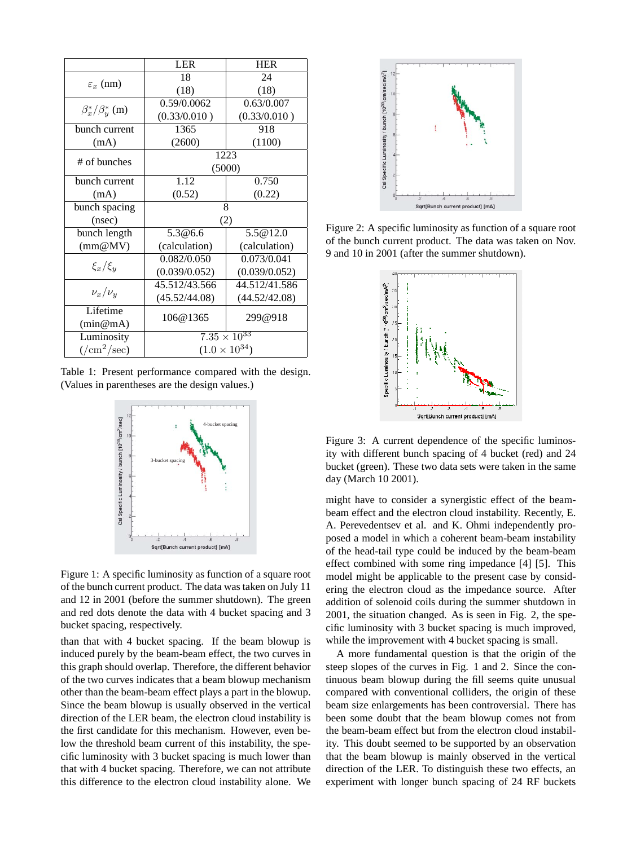|                                    | <b>LER</b>             | <b>HER</b>    |
|------------------------------------|------------------------|---------------|
| $\varepsilon_x$ (nm)               | 18                     | 24            |
|                                    | (18)                   | (18)          |
| $\beta_x^*/\beta_y^*$ (m)          | 0.59/0.0062            | 0.63/0.007    |
|                                    | (0.33/0.010)           | (0.33/0.010)  |
| bunch current                      | 1365                   | 918           |
| (mA)                               | (2600)                 | (1100)        |
| # of bunches                       | 1223                   |               |
|                                    | (5000)                 |               |
| bunch current                      | 1.12                   | 0.750         |
| (mA)                               | (0.52)                 | (0.22)        |
| bunch spacing                      | 8                      |               |
| (nsec)                             | (2)                    |               |
| bunch length                       | 5.3@6.6                | 5.5@12.0      |
| (mm@MV)                            | (calculation)          | (calculation) |
| $\xi_x/\xi_y$                      | 0.082/0.050            | 0.073/0.041   |
|                                    | (0.039/0.052)          | (0.039/0.052) |
| $\nu_x/\nu_y$                      | 45.512/43.566          | 44.512/41.586 |
|                                    | (45.52/44.08)          | (44.52/42.08) |
| Lifetime                           | 106@1365               | 299@918       |
| (min@mA)                           |                        |               |
| Luminosity                         | $7.35 \times 10^{33}$  |               |
| $\frac{1}{\text{cm}^2/\text{sec}}$ | $(1.0 \times 10^{34})$ |               |

Table 1: Present performance compared with the design. (Values in parentheses are the design values.)



Figure 1: A specific luminosity as function of a square root of the bunch current product. The data was taken on July 11 and 12 in 2001 (before the summer shutdown). The green and red dots denote the data with 4 bucket spacing and 3 bucket spacing, respectively.

than that with 4 bucket spacing. If the beam blowup is induced purely by the beam-beam effect, the two curves in this graph should overlap. Therefore, the different behavior of the two curves indicates that a beam blowup mechanism other than the beam-beam effect plays a part in the blowup. Since the beam blowup is usually observed in the vertical direction of the LER beam, the electron cloud instability is the first candidate for this mechanism. However, even below the threshold beam current of this instability, the specific luminosity with 3 bucket spacing is much lower than that with 4 bucket spacing. Therefore, we can not attribute this difference to the electron cloud instability alone. We



Figure 2: A specific luminosity as function of a square root of the bunch current product. The data was taken on Nov. 9 and 10 in 2001 (after the summer shutdown).



Figure 3: A current dependence of the specific luminosity with different bunch spacing of 4 bucket (red) and 24 bucket (green). These two data sets were taken in the same day (March 10 2001).

might have to consider a synergistic effect of the beambeam effect and the electron cloud instability. Recently, E. A. Perevedentsev et al. and K. Ohmi independently proposed a model in which a coherent beam-beam instability of the head-tail type could be induced by the beam-beam effect combined with some ring impedance [4] [5]. This model might be applicable to the present case by considering the electron cloud as the impedance source. After addition of solenoid coils during the summer shutdown in 2001, the situation changed. As is seen in Fig. 2, the specific luminosity with 3 bucket spacing is much improved, while the improvement with 4 bucket spacing is small.

A more fundamental question is that the origin of the steep slopes of the curves in Fig. 1 and 2. Since the continuous beam blowup during the fill seems quite unusual compared with conventional colliders, the origin of these beam size enlargements has been controversial. There has been some doubt that the beam blowup comes not from the beam-beam effect but from the electron cloud instability. This doubt seemed to be supported by an observation that the beam blowup is mainly observed in the vertical direction of the LER. To distinguish these two effects, an experiment with longer bunch spacing of 24 RF buckets